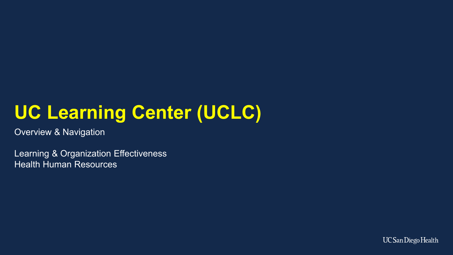# **UC Learning Center (UCLC)**

Overview & Navigation

Learning & Organization Effectiveness Health Human Resources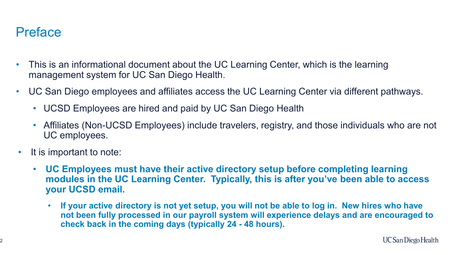#### **Preface**

- This is an informational document about the UC Learning Center, which is the learning management system for UC San Diego Health.
- UC San Diego employees and affiliates access the UC Learning Center via different pathways.
	- UCSD Employees are hired and paid by UC San Diego Health
	- Affiliates (Non-UCSD Employees) include travelers, registry, and those individuals who are not UC employees.
- It is important to note:
	- **UC Employees must have their active directory setup before completing learning modules in the UC Learning Center. Typically, this is after you've been able to access your UCSD email.**
		- **If your active directory is not yet setup, you will not be able to log in. New hires who have not been fully processed in our payroll system will experience delays and are encouraged to check back in the coming days (typically 24 - 48 hours).**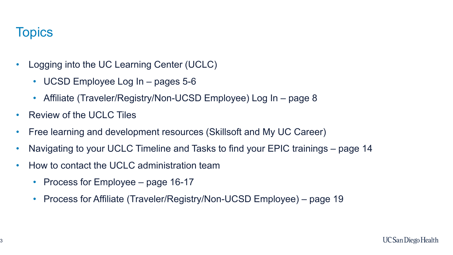#### **Topics**

- Logging into the UC Learning Center (UCLC)
	- UCSD Employee Log In pages 5-6
	- Affiliate (Traveler/Registry/Non-UCSD Employee) Log In page 8
- Review of the UCLC Tiles
- Free learning and development resources (Skillsoft and My UC Career)
- Navigating to your UCLC Timeline and Tasks to find your EPIC trainings page 14
- How to contact the UCLC administration team
	- Process for Employee page 16-17
	- Process for Affiliate (Traveler/Registry/Non-UCSD Employee) page 19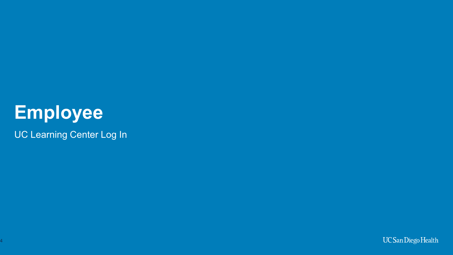# **Employee**

UC Learning Center Log In

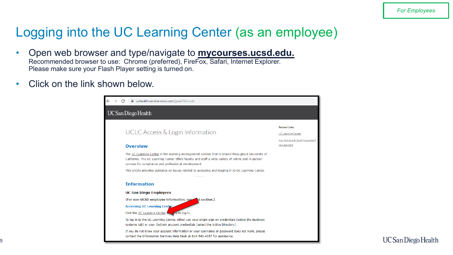#### Logging into the UC Learning Center (as an employee)

- Open web browser and type/navigate to **mycourses.ucsd.edu.** Recommended browser to use: Chrome (preferred), FireFox, Safari, Internet Explorer. Please make sure your Flash Player setting is turned on.
- Click on the link shown below.

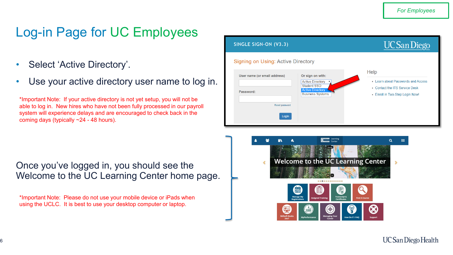### Log-in Page for UC Employees

- Select 'Active Directory'.
- Use your active directory user name to log in.

\*Important Note: If your active directory is not yet setup, you will not be able to log in. New hires who have not been fully processed in our payroll system will experience delays and are encouraged to check back in the coming days (typically ~24 - 48 hours).

| SINGLE SIGN-ON (V3.3)                                                |                                                                                                                  | <b>UC</b> San Diego                                                                                             |
|----------------------------------------------------------------------|------------------------------------------------------------------------------------------------------------------|-----------------------------------------------------------------------------------------------------------------|
| <b>Signing on Using: Active Directory</b>                            |                                                                                                                  |                                                                                                                 |
| User name (or email address)<br>Password:<br>Reset password<br>Login | Or sign on with:<br><b>Active Directory</b><br>Student SSO<br><b>Active Directory</b><br><b>Business Systems</b> | Help<br>• Learn about Passwords and Access<br>• Contact the ITS Service Desk<br>• Enroll in Two-Step Login Now! |

Once you've logged in, you should see the Welcome to the UC Learning Center home page.

\*Important Note: Please do not use your mobile device or iPads when using the UCLC. It is best to use your desktop computer or laptop.

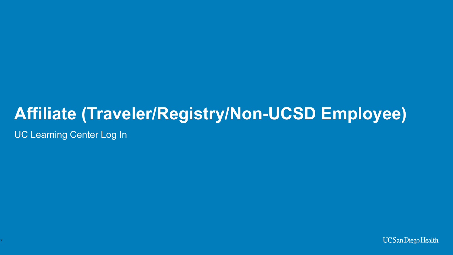## **Affiliate (Traveler/Registry/Non-UCSD Employee)**

UC Learning Center Log In

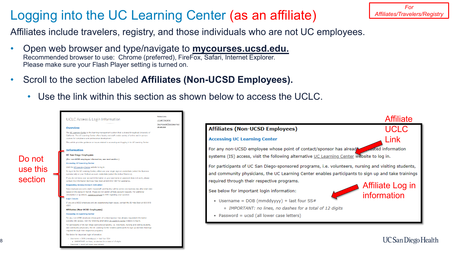#### Logging into the UC Learning Center (as an affiliate)

*For Affiliates/Travelers/Registry*

Affiliates include travelers, registry, and those individuals who are not UC employees.

- Open web browser and type/navigate to **mycourses.ucsd.edu.** Recommended browser to use: Chrome (preferred), FireFox, Safari, Internet Explorer. Please make sure your Flash Player setting is turned on.
- Scroll to the section labeled **Affiliates (Non-UCSD Employees).**

8

• Use the link within this section as shown below to access the UCLC.

|          | UCLC Access & Login Information                                                                                                                                                                                                                                                                                                                                       | <b>Related Links</b><br>UC Learning Center       |                                                                                                      | <b>Affiliate</b>                |
|----------|-----------------------------------------------------------------------------------------------------------------------------------------------------------------------------------------------------------------------------------------------------------------------------------------------------------------------------------------------------------------------|--------------------------------------------------|------------------------------------------------------------------------------------------------------|---------------------------------|
|          | <b>Overview</b>                                                                                                                                                                                                                                                                                                                                                       | Having trouble? Submit a support<br>reguest here | <b>Affiliates (Non-UCSD Employees)</b>                                                               | UCLC                            |
|          | The UC Learning Center is the learning management system that is shared throughout University of<br>California. The UC Learning Center offers faculty and staff a wide variety of online and in-person<br>courses for compliance and professional development.<br>This article provides guidance on issues related to accessing and logging in to UC Learning Center. |                                                  | <b>Accessing UC Learning Center</b>                                                                  | Link                            |
|          | <b>Information</b>                                                                                                                                                                                                                                                                                                                                                    |                                                  | For any non-UCSD employee whose point of contact/sponsor has alread                                  | <b>A</b> sted information       |
| Do not   | <b>UC San Diego Employees</b><br>(For non-UCSD employee information, see next section.)                                                                                                                                                                                                                                                                               |                                                  | systems (IS) access, visit the following alternative UC Learning Center website to log in.           |                                 |
| use this | <b>Accessing UC Learning Center</b><br>Visit the UC Learning Center website to log in.                                                                                                                                                                                                                                                                                |                                                  | For participants of UC San Diego-sponsored programs, i.e. volunteers, nursing and visiting students, |                                 |
|          | To log in to the UC Learning Center, either use your single sign-on credentials (select the Business<br>systems tab) or your Outlook account credentials (select the Active Directory).                                                                                                                                                                               |                                                  | and community physicians, the UC Learning Center enables participants to sign up and take trainings  |                                 |
| section  | If you do not know your account information or your username or password does not work, please<br>contact the Information Services Help Desk at 619-543-4357 for assistance.                                                                                                                                                                                          |                                                  | required through their respective programs.                                                          |                                 |
|          | <b>Requesting Access/Account Activation</b><br>New employee accounts (staff, housestaff, and faculty) will be active one business day after start date<br>based on the status in Payroll. Please do not submit affiliate account requests. For additional<br>information or questions, submit a request to HHR regarding your question.                               |                                                  | See below for important login information:                                                           | Affiliate Log in<br>information |
|          | <b>Login Issues</b><br>If you are a UCSD employee and are experiencing login issues, contact the IS Help Desk at 619-543-<br>4357.                                                                                                                                                                                                                                    |                                                  | • Username = $DOB (mmddyyy) + last four SS#$                                                         |                                 |
|          | Affiliates (Non-UCSD Employees)                                                                                                                                                                                                                                                                                                                                       |                                                  | o IMPORTANT: no lines, no dashes for a total of 12 digits                                            |                                 |
|          | <b>Accessing UC Learning Center</b><br>For any non-UCSD employee whose point of contact/sponsor has already requested information<br>systems (IS) access, visit the following alternative UC Learning Center website to log in.                                                                                                                                       |                                                  | • Password = ucsd (all lower case letters)                                                           |                                 |
|          | For participants of UC San Diego-sponsored programs, i.e. volunteers, nursing and visiting students,<br>and community physicians, the UC Learning Center enables participants to sign up and take trainings<br>required through their respective programs.                                                                                                            |                                                  |                                                                                                      |                                 |
|          | See below for important login information:                                                                                                                                                                                                                                                                                                                            |                                                  |                                                                                                      |                                 |
|          | Username = $DOB$ (mmddyyyy) + last four $SS#$<br>. IMPORTANT: no lines, no dashes for a total of 12 digits                                                                                                                                                                                                                                                            |                                                  |                                                                                                      | UC San Diego Health             |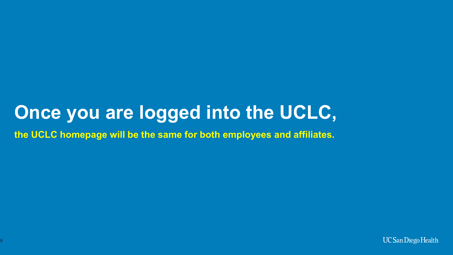### **Once you are logged into the UCLC,**

**the UCLC homepage will be the same for both employees and affiliates.**

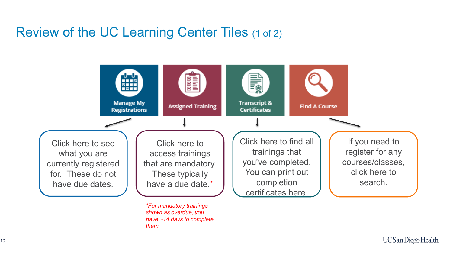#### Review of the UC Learning Center Tiles (1 of 2)

*shown as overdue, you have ~14 days to complete* 

*them.*

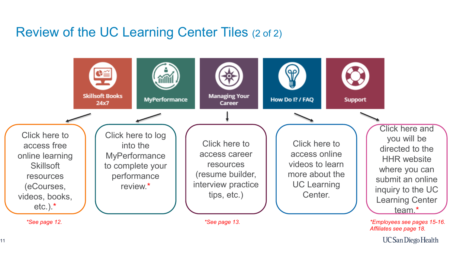#### Review of the UC Learning Center Tiles (2 of 2)



**UC San Diego Health** 

11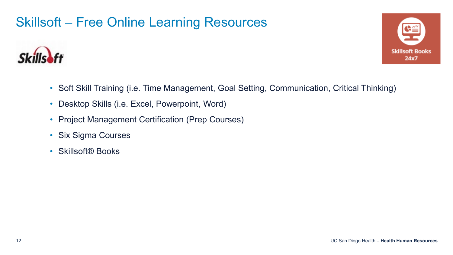#### Skillsoft – Free Online Learning Resources





- Soft Skill Training (i.e. Time Management, Goal Setting, Communication, Critical Thinking)
- Desktop Skills (i.e. Excel, Powerpoint, Word)
- Project Management Certification (Prep Courses)
- Six Sigma Courses
- Skillsoft<sup>®</sup> Books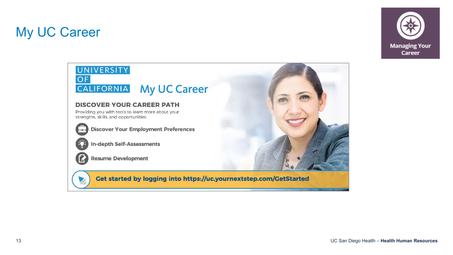#### My UC Career



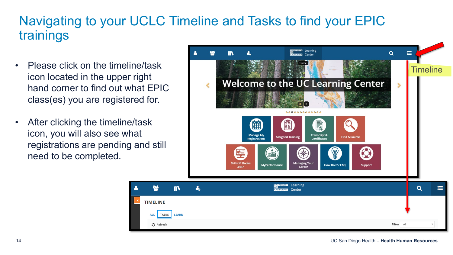#### Navigating to your UCLC Timeline and Tasks to find your EPIC trainings

- Please click on the timeline/task icon located in the upper right hand corner to find out what EPIC class(es) you are registered for.
- After clicking the timeline/task icon, you will also see what registrations are pending and still need to be completed.

**ALL** 

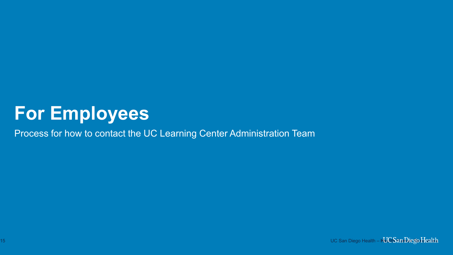### **For Employees**

Process for how to contact the UC Learning Center Administration Team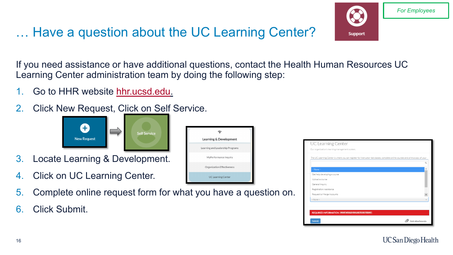#### … Have a question about the UC Learning Center?

If you need assistance or have additional questions, contact the Health Human Resources UC Learning Center administration team by doing the following step:

- 1. Go to HHR website [hhr.ucsd.edu](https://uchealth.service-now.com/hrportal?spa=1).
- 2. Click New Request, Click on Self Service.



- 3. Locate Learning & Development.
- 4. Click on UC Learning Center.
- 5. Complete online request form for what you have a question on.
- 6. Click Submit.

| Learning & Development           |
|----------------------------------|
| Learning and Leadership Programs |
| MyPerformance Inquiry            |
| Organization Effectiveness       |
| <b>UC Learning Center</b>        |



Support

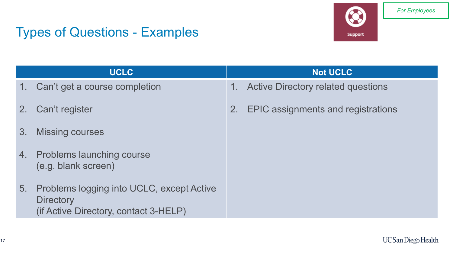#### Types of Questions - Examples

**Support** 

|                | <b>UCLC</b>                                                                                            | <b>Not UCLC</b>                                          |
|----------------|--------------------------------------------------------------------------------------------------------|----------------------------------------------------------|
| 1.             | Can't get a course completion                                                                          | <b>Active Directory related questions</b><br>$1_{\cdot}$ |
| 2 <sub>1</sub> | Can't register                                                                                         | EPIC assignments and registrations<br>2.                 |
| 3.             | <b>Missing courses</b>                                                                                 |                                                          |
|                | 4. Problems launching course<br>(e.g. blank screen)                                                    |                                                          |
| 5.             | Problems logging into UCLC, except Active<br><b>Directory</b><br>(if Active Directory, contact 3-HELP) |                                                          |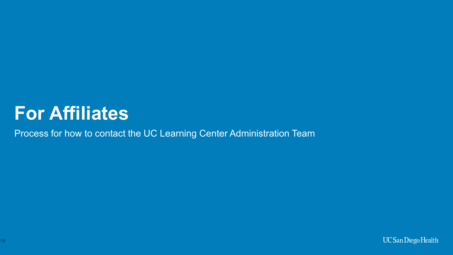### **For Affiliates**

Process for how to contact the UC Learning Center Administration Team